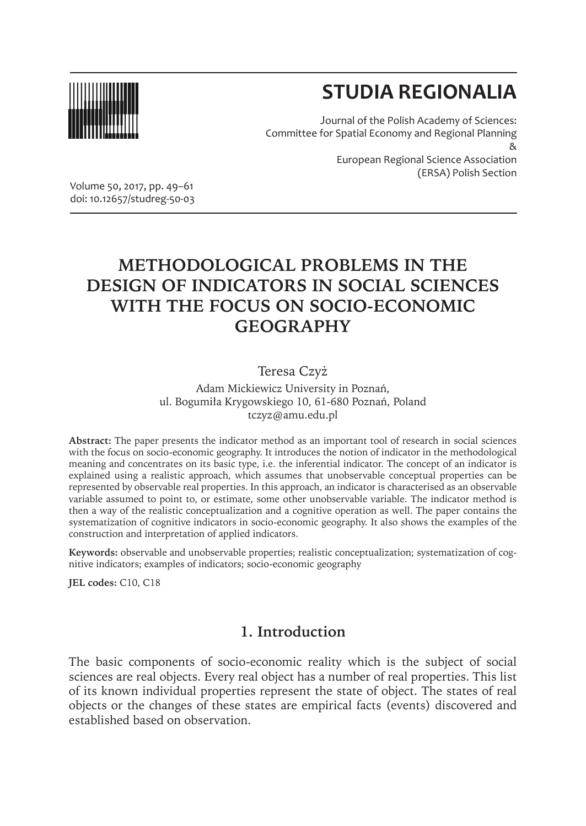

# **STUDIA REGIONALIA**

Journal of the Polish Academy of Sciences: Committee for Spatial Economy and Regional Planning & European Regional Science Association (ERSA) Polish Section

Volume 50, 2017, pp. 49–61 doi: 10.12657/studreg-50-03

## **METHODOLOGICAL PROBLEMS IN THE DESIGN OF INDICATORS IN SOCIAL SCIENCES WITH THE FOCUS ON SOCIO-ECONOMIC GEOGRAPHY**

#### Teresa Czyż

Adam Mickiewicz University in Poznań, ul. Bogumiła Krygowskiego 10, 61-680 Poznań, Poland tczyz@amu.edu.pl

**Abstract:** The paper presents the indicator method as an important tool of research in social sciences with the focus on socio-economic geography. It introduces the notion of indicator in the methodological meaning and concentrates on its basic type, i.e. the inferential indicator. The concept of an indicator is explained using a realistic approach, which assumes that unobservable conceptual properties can be represented by observable real properties. In this approach, an indicator is characterised as an observable variable assumed to point to, or estimate, some other unobservable variable. The indicator method is then a way of the realistic conceptualization and a cognitive operation as well. The paper contains the systematization of cognitive indicators in socio-economic geography. It also shows the examples of the construction and interpretation of applied indicators.

**Keywords:** observable and unobservable properties; realistic conceptualization; systematization of cognitive indicators; examples of indicators; socio-economic geography

**JEL codes:** C10, C18

#### **1. Introduction**

The basic components of socio-economic reality which is the subject of social sciences are real objects. Every real object has a number of real properties. This list of its known individual properties represent the state of object. The states of real objects or the changes of these states are empirical facts (events) discovered and established based on observation.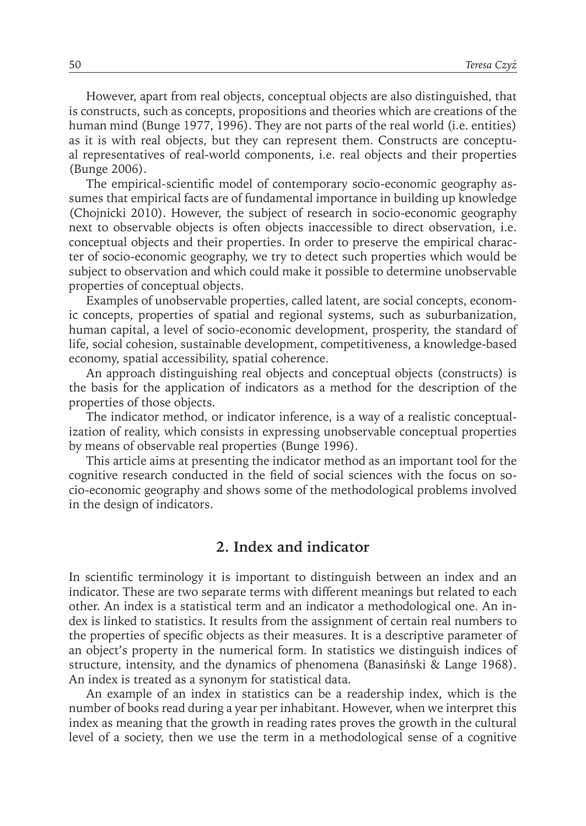However, apart from real objects, conceptual objects are also distinguished, that is constructs, such as concepts, propositions and theories which are creations of the human mind (Bunge 1977, 1996). They are not parts of the real world (i.e. entities) as it is with real objects, but they can represent them. Constructs are conceptual representatives of real-world components, i.e. real objects and their properties (Bunge 2006).

The empirical-scientific model of contemporary socio-economic geography assumes that empirical facts are of fundamental importance in building up knowledge (Chojnicki 2010). However, the subject of research in socio-economic geography next to observable objects is often objects inaccessible to direct observation, i.e. conceptual objects and their properties. In order to preserve the empirical character of socio-economic geography, we try to detect such properties which would be subject to observation and which could make it possible to determine unobservable properties of conceptual objects.

Examples of unobservable properties, called latent, are social concepts, economic concepts, properties of spatial and regional systems, such as suburbanization, human capital, a level of socio-economic development, prosperity, the standard of life, social cohesion, sustainable development, competitiveness, a knowledge-based economy, spatial accessibility, spatial coherence.

An approach distinguishing real objects and conceptual objects (constructs) is the basis for the application of indicators as a method for the description of the properties of those objects.

The indicator method, or indicator inference, is a way of a realistic conceptualization of reality, which consists in expressing unobservable conceptual properties by means of observable real properties (Bunge 1996).

This article aims at presenting the indicator method as an important tool for the cognitive research conducted in the field of social sciences with the focus on socio-economic geography and shows some of the methodological problems involved in the design of indicators.

#### **2. Index and indicator**

In scientific terminology it is important to distinguish between an index and an indicator. These are two separate terms with different meanings but related to each other. An index is a statistical term and an indicator a methodological one. An index is linked to statistics. It results from the assignment of certain real numbers to the properties of specific objects as their measures. It is a descriptive parameter of an object's property in the numerical form. In statistics we distinguish indices of structure, intensity, and the dynamics of phenomena (Banasiński & Lange 1968). An index is treated as a synonym for statistical data.

An example of an index in statistics can be a readership index, which is the number of books read during a year per inhabitant. However, when we interpret this index as meaning that the growth in reading rates proves the growth in the cultural level of a society, then we use the term in a methodological sense of a cognitive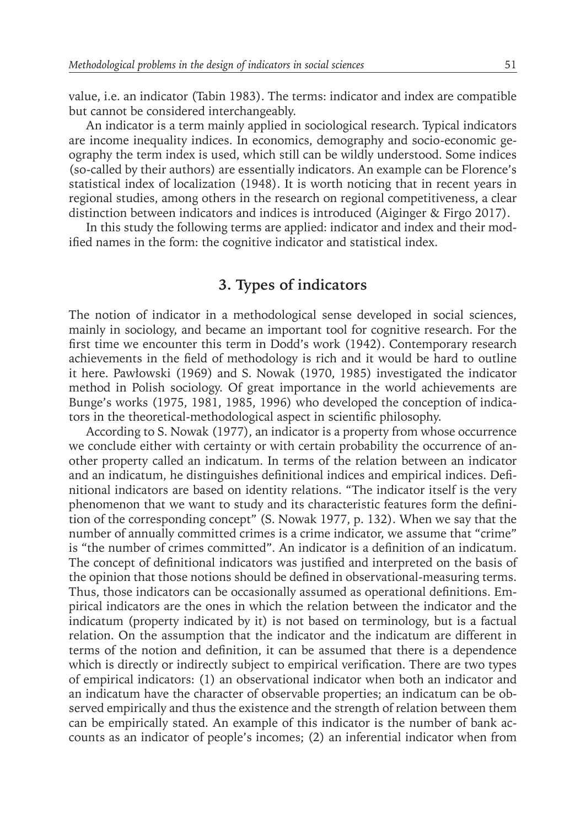value, i.e. an indicator (Tabin 1983). The terms: indicator and index are compatible but cannot be considered interchangeably.

An indicator is a term mainly applied in sociological research. Typical indicators are income inequality indices. In economics, demography and socio-economic geography the term index is used, which still can be wildly understood. Some indices (so-called by their authors) are essentially indicators. An example can be Florence's statistical index of localization (1948). It is worth noticing that in recent years in regional studies, among others in the research on regional competitiveness, a clear distinction between indicators and indices is introduced (Aiginger & Firgo 2017).

In this study the following terms are applied: indicator and index and their modified names in the form: the cognitive indicator and statistical index.

#### **3. Types of indicators**

The notion of indicator in a methodological sense developed in social sciences, mainly in sociology, and became an important tool for cognitive research. For the first time we encounter this term in Dodd's work (1942). Contemporary research achievements in the field of methodology is rich and it would be hard to outline it here. Pawłowski (1969) and S. Nowak (1970, 1985) investigated the indicator method in Polish sociology. Of great importance in the world achievements are Bunge's works (1975, 1981, 1985, 1996) who developed the conception of indicators in the theoretical-methodological aspect in scientific philosophy.

According to S. Nowak (1977), an indicator is a property from whose occurrence we conclude either with certainty or with certain probability the occurrence of another property called an indicatum. In terms of the relation between an indicator and an indicatum, he distinguishes definitional indices and empirical indices. Definitional indicators are based on identity relations. "The indicator itself is the very phenomenon that we want to study and its characteristic features form the definition of the corresponding concept" (S. Nowak 1977, p. 132). When we say that the number of annually committed crimes is a crime indicator, we assume that "crime" is "the number of crimes committed". An indicator is a definition of an indicatum. The concept of definitional indicators was justified and interpreted on the basis of the opinion that those notions should be defined in observational-measuring terms. Thus, those indicators can be occasionally assumed as operational definitions. Empirical indicators are the ones in which the relation between the indicator and the indicatum (property indicated by it) is not based on terminology, but is a factual relation. On the assumption that the indicator and the indicatum are different in terms of the notion and definition, it can be assumed that there is a dependence which is directly or indirectly subject to empirical verification. There are two types of empirical indicators: (1) an observational indicator when both an indicator and an indicatum have the character of observable properties; an indicatum can be observed empirically and thus the existence and the strength of relation between them can be empirically stated. An example of this indicator is the number of bank accounts as an indicator of people's incomes; (2) an inferential indicator when from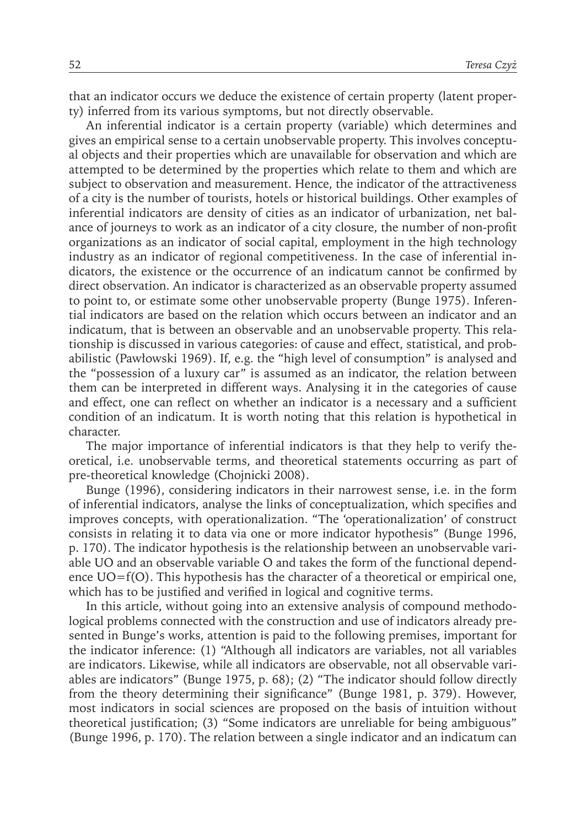that an indicator occurs we deduce the existence of certain property (latent property) inferred from its various symptoms, but not directly observable.

An inferential indicator is a certain property (variable) which determines and gives an empirical sense to a certain unobservable property. This involves conceptual objects and their properties which are unavailable for observation and which are attempted to be determined by the properties which relate to them and which are subject to observation and measurement. Hence, the indicator of the attractiveness of a city is the number of tourists, hotels or historical buildings. Other examples of inferential indicators are density of cities as an indicator of urbanization, net balance of journeys to work as an indicator of a city closure, the number of non-profit organizations as an indicator of social capital, employment in the high technology industry as an indicator of regional competitiveness. In the case of inferential indicators, the existence or the occurrence of an indicatum cannot be confirmed by direct observation. An indicator is characterized as an observable property assumed to point to, or estimate some other unobservable property (Bunge 1975). Inferential indicators are based on the relation which occurs between an indicator and an indicatum, that is between an observable and an unobservable property. This relationship is discussed in various categories: of cause and effect, statistical, and probabilistic (Pawłowski 1969). If, e.g. the "high level of consumption" is analysed and the "possession of a luxury car" is assumed as an indicator, the relation between them can be interpreted in different ways. Analysing it in the categories of cause and effect, one can reflect on whether an indicator is a necessary and a sufficient condition of an indicatum. It is worth noting that this relation is hypothetical in character.

The major importance of inferential indicators is that they help to verify theoretical, i.e. unobservable terms, and theoretical statements occurring as part of pre-theoretical knowledge (Chojnicki 2008).

Bunge (1996), considering indicators in their narrowest sense, i.e. in the form of inferential indicators, analyse the links of conceptualization, which specifies and improves concepts, with operationalization. "The 'operationalization' of construct consists in relating it to data via one or more indicator hypothesis" (Bunge 1996, p. 170). The indicator hypothesis is the relationship between an unobservable variable UO and an observable variable O and takes the form of the functional dependence  $UO=f(O)$ . This hypothesis has the character of a theoretical or empirical one, which has to be justified and verified in logical and cognitive terms.

In this article, without going into an extensive analysis of compound methodological problems connected with the construction and use of indicators already presented in Bunge's works, attention is paid to the following premises, important for the indicator inference: (1) "Although all indicators are variables, not all variables are indicators. Likewise, while all indicators are observable, not all observable variables are indicators" (Bunge 1975, p. 68); (2) "The indicator should follow directly from the theory determining their significance" (Bunge 1981, p. 379). However, most indicators in social sciences are proposed on the basis of intuition without theoretical justification; (3) "Some indicators are unreliable for being ambiguous" (Bunge 1996, p. 170). The relation between a single indicator and an indicatum can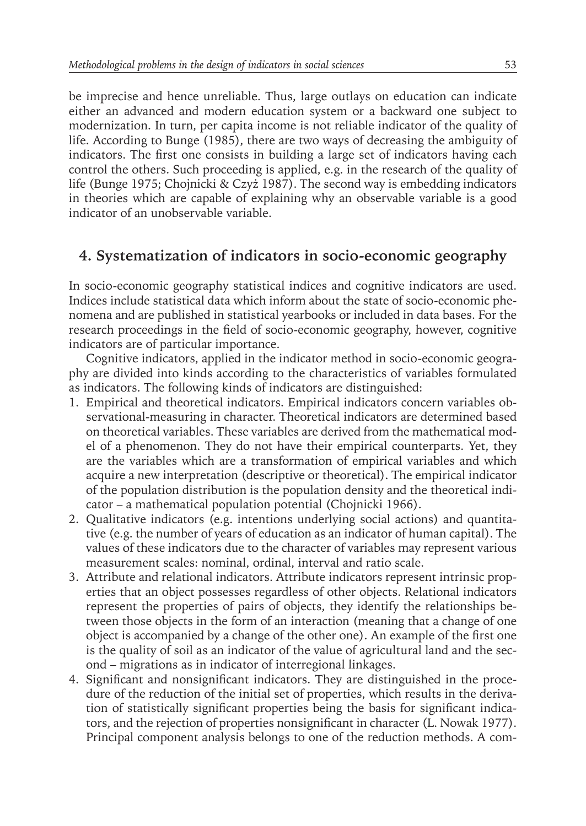be imprecise and hence unreliable. Thus, large outlays on education can indicate either an advanced and modern education system or a backward one subject to modernization. In turn, per capita income is not reliable indicator of the quality of life. According to Bunge (1985), there are two ways of decreasing the ambiguity of indicators. The first one consists in building a large set of indicators having each control the others. Such proceeding is applied, e.g. in the research of the quality of life (Bunge 1975; Chojnicki & Czyż 1987). The second way is embedding indicators in theories which are capable of explaining why an observable variable is a good indicator of an unobservable variable.

## **4. Systematization of indicators in socio-economic geography**

In socio-economic geography statistical indices and cognitive indicators are used. Indices include statistical data which inform about the state of socio-economic phenomena and are published in statistical yearbooks or included in data bases. For the research proceedings in the field of socio-economic geography, however, cognitive indicators are of particular importance.

Cognitive indicators, applied in the indicator method in socio-economic geography are divided into kinds according to the characteristics of variables formulated as indicators. The following kinds of indicators are distinguished:

- 1. Empirical and theoretical indicators. Empirical indicators concern variables observational-measuring in character. Theoretical indicators are determined based on theoretical variables. These variables are derived from the mathematical model of a phenomenon. They do not have their empirical counterparts. Yet, they are the variables which are a transformation of empirical variables and which acquire a new interpretation (descriptive or theoretical). The empirical indicator of the population distribution is the population density and the theoretical indicator – a mathematical population potential (Chojnicki 1966).
- 2. Qualitative indicators (e.g. intentions underlying social actions) and quantitative (e.g. the number of years of education as an indicator of human capital). The values of these indicators due to the character of variables may represent various measurement scales: nominal, ordinal, interval and ratio scale.
- 3. Attribute and relational indicators. Attribute indicators represent intrinsic properties that an object possesses regardless of other objects. Relational indicators represent the properties of pairs of objects, they identify the relationships between those objects in the form of an interaction (meaning that a change of one object is accompanied by a change of the other one). An example of the first one is the quality of soil as an indicator of the value of agricultural land and the second – migrations as in indicator of interregional linkages.
- 4. Significant and nonsignificant indicators. They are distinguished in the procedure of the reduction of the initial set of properties, which results in the derivation of statistically significant properties being the basis for significant indicators, and the rejection of properties nonsignificant in character (L. Nowak 1977). Principal component analysis belongs to one of the reduction methods. A com-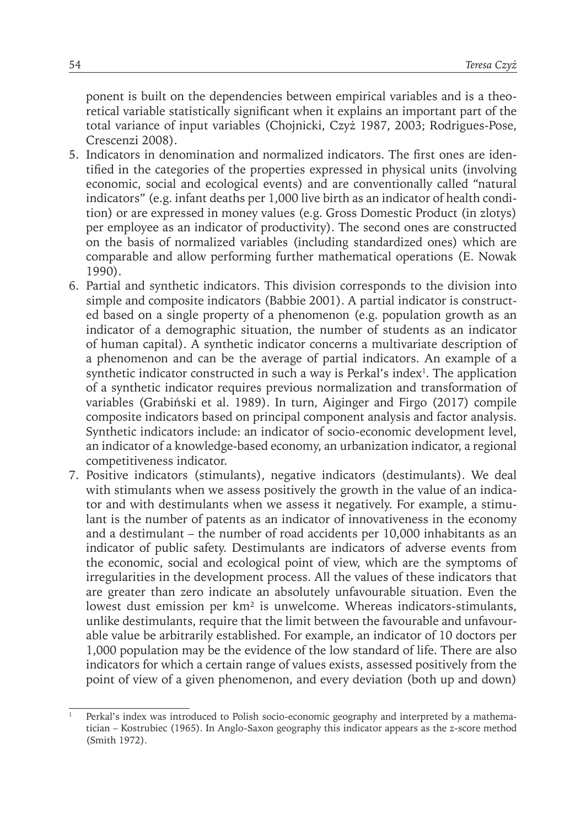ponent is built on the dependencies between empirical variables and is a theoretical variable statistically significant when it explains an important part of the total variance of input variables (Chojnicki, Czyż 1987, 2003; Rodrigues-Pose, Crescenzi 2008).

- 5. Indicators in denomination and normalized indicators. The first ones are identified in the categories of the properties expressed in physical units (involving economic, social and ecological events) and are conventionally called "natural indicators" (e.g. infant deaths per 1,000 live birth as an indicator of health condition) or are expressed in money values (e.g. Gross Domestic Product (in zlotys) per employee as an indicator of productivity). The second ones are constructed on the basis of normalized variables (including standardized ones) which are comparable and allow performing further mathematical operations (E. Nowak 1990).
- 6. Partial and synthetic indicators. This division corresponds to the division into simple and composite indicators (Babbie 2001). A partial indicator is constructed based on a single property of a phenomenon (e.g. population growth as an indicator of a demographic situation, the number of students as an indicator of human capital). A synthetic indicator concerns a multivariate description of a phenomenon and can be the average of partial indicators. An example of a synthetic indicator constructed in such a way is Perkal's index<sup>1</sup>. The application of a synthetic indicator requires previous normalization and transformation of variables (Grabiński et al. 1989). In turn, Aiginger and Firgo (2017) compile composite indicators based on principal component analysis and factor analysis. Synthetic indicators include: an indicator of socio-economic development level, an indicator of a knowledge-based economy, an urbanization indicator, a regional competitiveness indicator.
- 7. Positive indicators (stimulants), negative indicators (destimulants). We deal with stimulants when we assess positively the growth in the value of an indicator and with destimulants when we assess it negatively. For example, a stimulant is the number of patents as an indicator of innovativeness in the economy and a destimulant – the number of road accidents per 10,000 inhabitants as an indicator of public safety. Destimulants are indicators of adverse events from the economic, social and ecological point of view, which are the symptoms of irregularities in the development process. All the values of these indicators that are greater than zero indicate an absolutely unfavourable situation. Even the lowest dust emission per km² is unwelcome. Whereas indicators-stimulants, unlike destimulants, require that the limit between the favourable and unfavourable value be arbitrarily established. For example, an indicator of 10 doctors per 1,000 population may be the evidence of the low standard of life. There are also indicators for which a certain range of values exists, assessed positively from the point of view of a given phenomenon, and every deviation (both up and down)

Perkal's index was introduced to Polish socio-economic geography and interpreted by a mathematician – Kostrubiec (1965). In Anglo-Saxon geography this indicator appears as the z-score method (Smith 1972).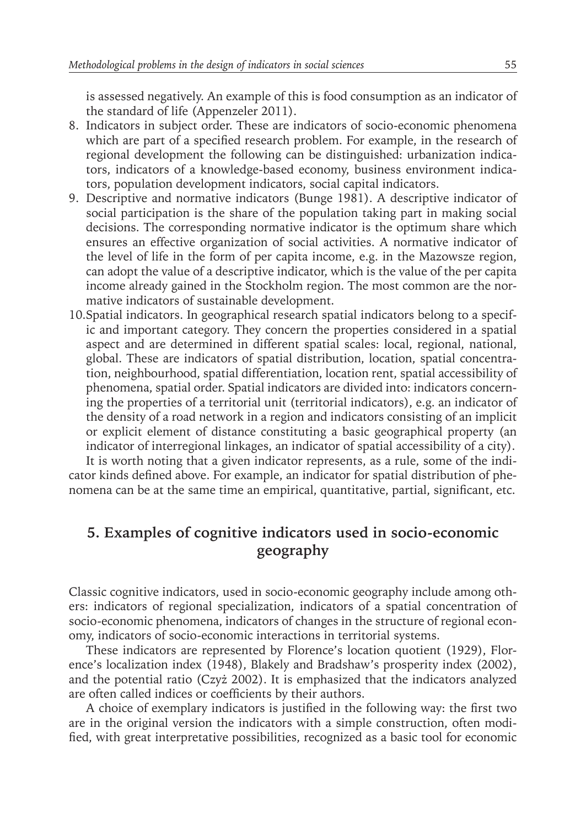is assessed negatively. An example of this is food consumption as an indicator of the standard of life (Appenzeler 2011).

- 8. Indicators in subject order. These are indicators of socio-economic phenomena which are part of a specified research problem. For example, in the research of regional development the following can be distinguished: urbanization indicators, indicators of a knowledge-based economy, business environment indicators, population development indicators, social capital indicators.
- 9. Descriptive and normative indicators (Bunge 1981). A descriptive indicator of social participation is the share of the population taking part in making social decisions. The corresponding normative indicator is the optimum share which ensures an effective organization of social activities. A normative indicator of the level of life in the form of per capita income, e.g. in the Mazowsze region, can adopt the value of a descriptive indicator, which is the value of the per capita income already gained in the Stockholm region. The most common are the normative indicators of sustainable development.
- 10.Spatial indicators. In geographical research spatial indicators belong to a specific and important category. They concern the properties considered in a spatial aspect and are determined in different spatial scales: local, regional, national, global. These are indicators of spatial distribution, location, spatial concentration, neighbourhood, spatial differentiation, location rent, spatial accessibility of phenomena, spatial order. Spatial indicators are divided into: indicators concerning the properties of a territorial unit (territorial indicators), e.g. an indicator of the density of a road network in a region and indicators consisting of an implicit or explicit element of distance constituting a basic geographical property (an indicator of interregional linkages, an indicator of spatial accessibility of a city).

It is worth noting that a given indicator represents, as a rule, some of the indicator kinds defined above. For example, an indicator for spatial distribution of phenomena can be at the same time an empirical, quantitative, partial, significant, etc.

## **5. Examples of cognitive indicators used in socio-economic geography**

Classic cognitive indicators, used in socio-economic geography include among others: indicators of regional specialization, indicators of a spatial concentration of socio-economic phenomena, indicators of changes in the structure of regional economy, indicators of socio-economic interactions in territorial systems.

These indicators are represented by Florence's location quotient (1929), Florence's localization index (1948), Blakely and Bradshaw's prosperity index (2002), and the potential ratio (Czyż 2002). It is emphasized that the indicators analyzed are often called indices or coefficients by their authors.

A choice of exemplary indicators is justified in the following way: the first two are in the original version the indicators with a simple construction, often modified, with great interpretative possibilities, recognized as a basic tool for economic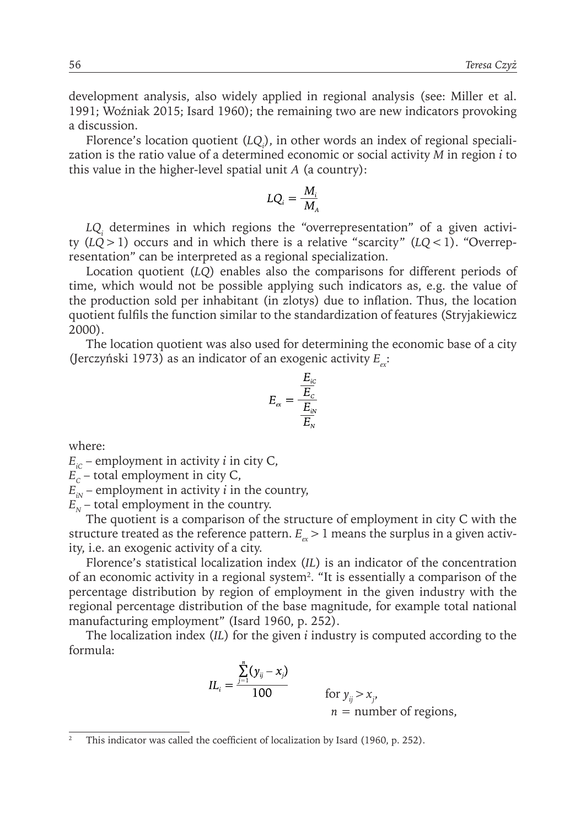development analysis, also widely applied in regional analysis (see: Miller et al. 1991; Woźniak 2015; Isard 1960); the remaining two are new indicators provoking a discussion.

Florence's location quotient (*LQ<sub>i</sub>*), in other words an index of regional specialization is the ratio value of a determined economic or social activity *M* in region *i* to this value in the higher-level spatial unit *A* (a country):

$$
LQ_{_{i}}=\frac{M_{_{i}}}{M_{_{A}}}
$$

*LQi* determines in which regions the "overrepresentation" of a given activity  $(LQ>1)$  occurs and in which there is a relative "scarcity"  $(LQ<1)$ . "Overrepresentation" can be interpreted as a regional specialization.

Location quotient (*LQ*) enables also the comparisons for different periods of time, which would not be possible applying such indicators as, e.g. the value of the production sold per inhabitant (in zlotys) due to inflation. Thus, the location quotient fulfils the function similar to the standardization of features (Stryjakiewicz 2000).

The location quotient was also used for determining the economic base of a city (Jerczyński 1973) as an indicator of an exogenic activity *E*<sub>x</sub>:

$$
E_{\alpha} = \frac{\frac{E_{iC}}{E_{C}}}{\frac{E_{iN}}{E_{N}}}
$$

where:

 $E<sub>c</sub>$  – employment in activity *i* in city C,

 $E_c$  – total employment in city C,

 $E_{in}$  – employment in activity *i* in the country,

 $E<sub>N</sub>$  – total employment in the country.

The quotient is a comparison of the structure of employment in city C with the structure treated as the reference pattern.  $E_{\alpha}$  > 1 means the surplus in a given activity, i.e. an exogenic activity of a city.

Florence's statistical localization index (*IL*) is an indicator of the concentration of an economic activity in a regional system<sup>2</sup> . "It is essentially a comparison of the percentage distribution by region of employment in the given industry with the regional percentage distribution of the base magnitude, for example total national manufacturing employment" (Isard 1960, p. 252).

The localization index (*IL*) for the given *i* industry is computed according to the formula:

$$
IL_{i} = \frac{\sum_{j=1}^{n} (y_{ij} - x_{j})}{100}
$$
 for  $y_{ij} > x_{j}$ ,  
\n $n =$  number of regions,

<sup>&</sup>lt;sup>2</sup> This indicator was called the coefficient of localization by Isard (1960, p. 252).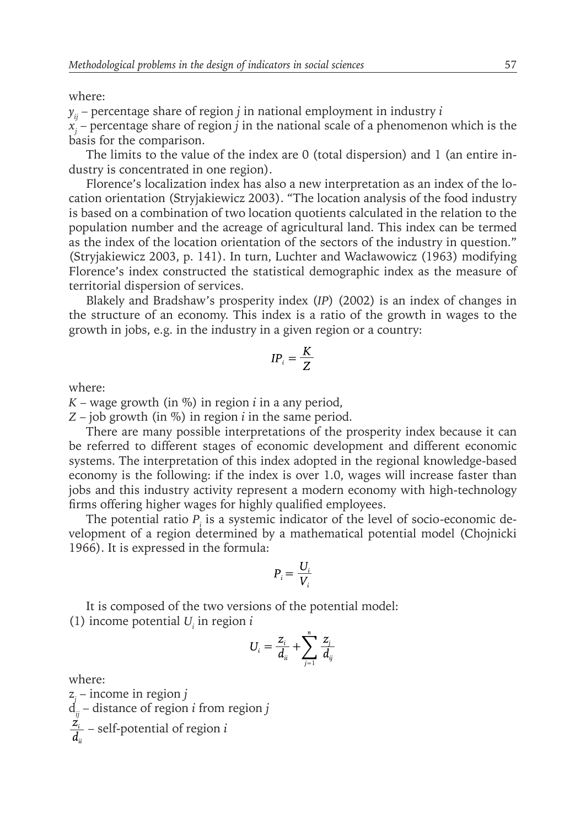#### where:

 $y_{ii}$  – percentage share of region *j* in national employment in industry *i xj* – percentage share of region *j* in the national scale of a phenomenon which is the basis for the comparison.

The limits to the value of the index are 0 (total dispersion) and 1 (an entire industry is concentrated in one region).

Florence's localization index has also a new interpretation as an index of the location orientation (Stryjakiewicz 2003). "The location analysis of the food industry is based on a combination of two location quotients calculated in the relation to the population number and the acreage of agricultural land. This index can be termed as the index of the location orientation of the sectors of the industry in question." (Stryjakiewicz 2003, p. 141). In turn, Luchter and Wacławowicz (1963) modifying Florence's index constructed the statistical demographic index as the measure of territorial dispersion of services.

Blakely and Bradshaw's prosperity index (*IP*) (2002) is an index of changes in the structure of an economy. This index is a ratio of the growth in wages to the growth in jobs, e.g. in the industry in a given region or a country:

$$
IP_i = \frac{K}{Z}
$$

where:

*K* – wage growth (in %) in region *i* in a any period,

*Z* – job growth (in %) in region *i* in the same period.

There are many possible interpretations of the prosperity index because it can be referred to different stages of economic development and different economic systems. The interpretation of this index adopted in the regional knowledge-based economy is the following: if the index is over 1.0, wages will increase faster than jobs and this industry activity represent a modern economy with high-technology firms offering higher wages for highly qualified employees.

The potential ratio  $P_i$  is a systemic indicator of the level of socio-economic development of a region determined by a mathematical potential model (Chojnicki 1966). It is expressed in the formula:

$$
P_i = \frac{U_i}{V_i}
$$

It is composed of the two versions of the potential model: (1) income potential  $U_i$  in region  $i$ 

$$
U_i = \frac{z_i}{d_{ii}} + \sum_{j=1}^n \frac{z_j}{d_{ij}}
$$

where:

z*j* – income in region *j* d*ij* – distance of region *i* from region *j* – self-potential of region *i*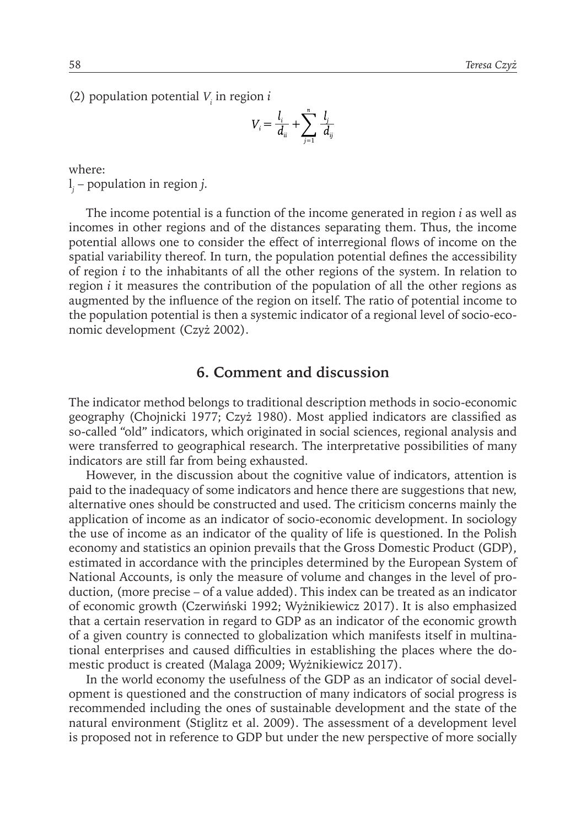(2) population potential  $V_i$  in region *i* 

$$
V_i = \frac{l_i}{d_{ii}} + \sum_{j=1}^n \frac{l_j}{d_{ij}}
$$

where: l *j* – population in region *j.*

The income potential is a function of the income generated in region *i* as well as incomes in other regions and of the distances separating them. Thus, the income potential allows one to consider the effect of interregional flows of income on the spatial variability thereof. In turn, the population potential defines the accessibility of region *i* to the inhabitants of all the other regions of the system. In relation to region *i* it measures the contribution of the population of all the other regions as augmented by the influence of the region on itself. The ratio of potential income to the population potential is then a systemic indicator of a regional level of socio-economic development (Czyż 2002).

#### **6. Comment and discussion**

The indicator method belongs to traditional description methods in socio-economic geography (Chojnicki 1977; Czyż 1980). Most applied indicators are classified as so-called "old" indicators, which originated in social sciences, regional analysis and were transferred to geographical research. The interpretative possibilities of many indicators are still far from being exhausted.

However, in the discussion about the cognitive value of indicators, attention is paid to the inadequacy of some indicators and hence there are suggestions that new, alternative ones should be constructed and used. The criticism concerns mainly the application of income as an indicator of socio-economic development. In sociology the use of income as an indicator of the quality of life is questioned. In the Polish economy and statistics an opinion prevails that the Gross Domestic Product (GDP), estimated in accordance with the principles determined by the European System of National Accounts, is only the measure of volume and changes in the level of production, (more precise – of a value added). This index can be treated as an indicator of economic growth (Czerwiński 1992; Wyżnikiewicz 2017). It is also emphasized that a certain reservation in regard to GDP as an indicator of the economic growth of a given country is connected to globalization which manifests itself in multinational enterprises and caused difficulties in establishing the places where the domestic product is created (Malaga 2009; Wyżnikiewicz 2017).

In the world economy the usefulness of the GDP as an indicator of social development is questioned and the construction of many indicators of social progress is recommended including the ones of sustainable development and the state of the natural environment (Stiglitz et al. 2009). The assessment of a development level is proposed not in reference to GDP but under the new perspective of more socially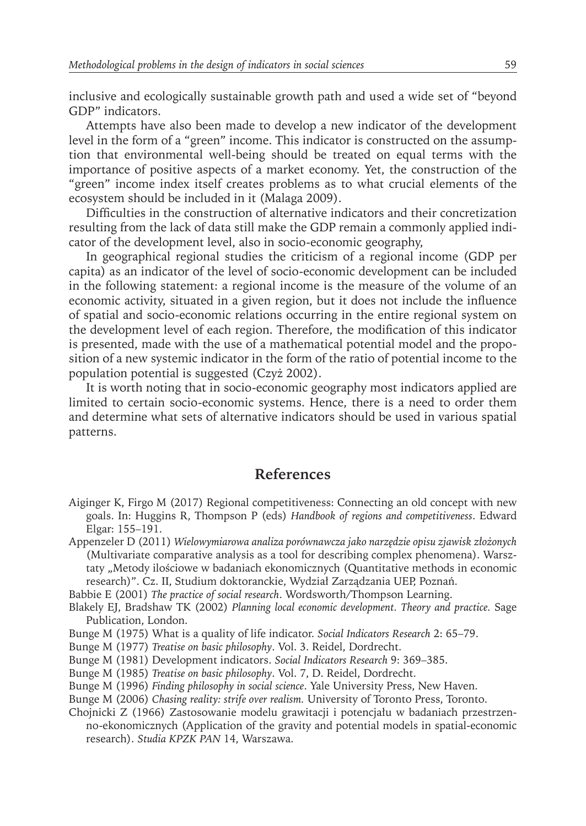inclusive and ecologically sustainable growth path and used a wide set of "beyond GDP" indicators.

Attempts have also been made to develop a new indicator of the development level in the form of a "green" income. This indicator is constructed on the assumption that environmental well-being should be treated on equal terms with the importance of positive aspects of a market economy. Yet, the construction of the "green" income index itself creates problems as to what crucial elements of the ecosystem should be included in it (Malaga 2009).

Difficulties in the construction of alternative indicators and their concretization resulting from the lack of data still make the GDP remain a commonly applied indicator of the development level, also in socio-economic geography,

In geographical regional studies the criticism of a regional income (GDP per capita) as an indicator of the level of socio-economic development can be included in the following statement: a regional income is the measure of the volume of an economic activity, situated in a given region, but it does not include the influence of spatial and socio-economic relations occurring in the entire regional system on the development level of each region. Therefore, the modification of this indicator is presented, made with the use of a mathematical potential model and the proposition of a new systemic indicator in the form of the ratio of potential income to the population potential is suggested (Czyż 2002).

It is worth noting that in socio-economic geography most indicators applied are limited to certain socio-economic systems. Hence, there is a need to order them and determine what sets of alternative indicators should be used in various spatial patterns.

#### **References**

- Aiginger K, Firgo M (2017) Regional competitiveness: Connecting an old concept with new goals. In: Huggins R, Thompson P (eds) *Handbook of regions and competitiveness*. Edward Elgar: 155–191.
- Appenzeler D (2011) *Wielowymiarowa analiza porównawcza jako narzędzie opisu zjawisk złożonych* (Multivariate comparative analysis as a tool for describing complex phenomena). Warsztaty "Metody ilościowe w badaniach ekonomicznych (Quantitative methods in economic research)". Cz. II, Studium doktoranckie, Wydział Zarządzania UEP, Poznań.
- Babbie E (2001) *The practice of social research*. Wordsworth/Thompson Learning.

Blakely EJ, Bradshaw TK (2002) *Planning local economic development. Theory and practice.* Sage Publication, London.

Bunge M (1975) What is a quality of life indicator. *Social Indicators Research* 2: 65–79.

Bunge M (1977) *Treatise on basic philosophy*. Vol. 3. Reidel, Dordrecht.

Bunge M (1981) Development indicators. *Social Indicators Research* 9: 369–385.

Bunge M (1985) *Treatise on basic philosophy*. Vol. 7, D. Reidel, Dordrecht.

Bunge M (1996) *Finding philosophy in social science*. Yale University Press, New Haven.

Bunge M (2006) *Chasing reality: strife over realism.* University of Toronto Press, Toronto.

Chojnicki Z (1966) Zastosowanie modelu grawitacji i potencjału w badaniach przestrzenno-ekonomicznych (Application of the gravity and potential models in spatial-economic research). *Studia KPZK PAN* 14, Warszawa.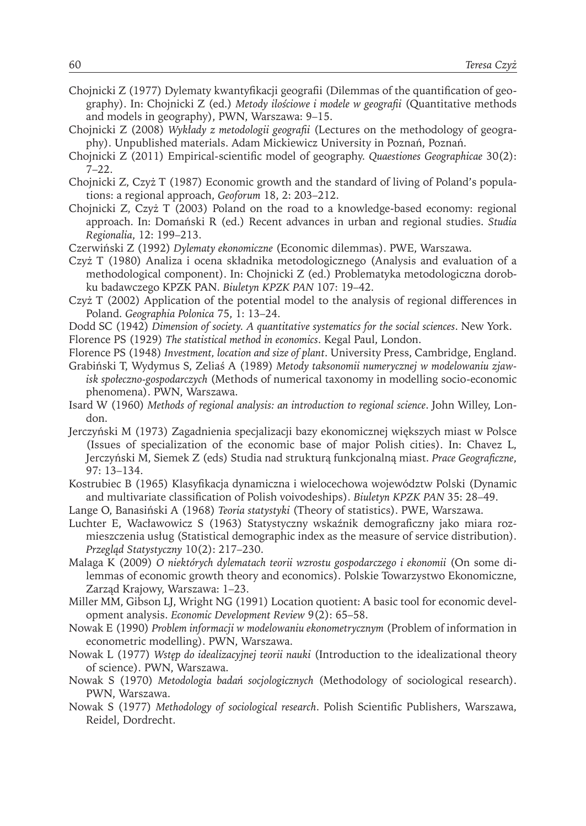- Chojnicki Z (1977) Dylematy kwantyfikacji geografii (Dilemmas of the quantification of geography). In: Chojnicki Z (ed.) *Metody ilościowe i modele w geografii* (Quantitative methods and models in geography), PWN, Warszawa: 9–15.
- Chojnicki Z (2008) *Wykłady z metodologii geografii* (Lectures on the methodology of geography). Unpublished materials. Adam Mickiewicz University in Poznań, Poznań.
- Chojnicki Z (2011) Empirical-scientific model of geography. *Quaestiones Geographicae* 30(2):  $7 - 22.$
- Chojnicki Z, Czyż T (1987) Economic growth and the standard of living of Poland's populations: a regional approach, *Geoforum* 18, 2: 203–212.
- Chojnicki Z, Czyż T (2003) Poland on the road to a knowledge-based economy: regional approach. In: Domański R (ed.) Recent advances in urban and regional studies. *Studia Regionalia*, 12: 199–213.
- Czerwiński Z (1992) *Dylematy ekonomiczne* (Economic dilemmas). PWE, Warszawa.
- Czyż T (1980) Analiza i ocena składnika metodologicznego (Analysis and evaluation of a methodological component). In: Chojnicki Z (ed.) Problematyka metodologiczna dorobku badawczego KPZK PAN. *Biuletyn KPZK PAN* 107: 19–42.
- Czyż T (2002) Application of the potential model to the analysis of regional differences in Poland. *Geographia Polonica* 75, 1: 13–24.
- Dodd SC (1942) *Dimension of society. A quantitative systematics for the social sciences*. New York.
- Florence PS (1929) *The statistical method in economics*. Kegal Paul, London.
- Florence PS (1948) *Investment, location and size of plant*. University Press, Cambridge, England.
- Grabiński T, Wydymus S, Zeliaś A (1989) *Metody taksonomii numerycznej w modelowaniu zjawisk społeczno-gospodarczych* (Methods of numerical taxonomy in modelling socio-economic phenomena). PWN, Warszawa.
- Isard W (1960) *Methods of regional analysis: an introduction to regional science*. John Willey, London.
- Jerczyński M (1973) Zagadnienia specjalizacji bazy ekonomicznej większych miast w Polsce (Issues of specialization of the economic base of major Polish cities). In: Chavez L, Jerczyński M, Siemek Z (eds) Studia nad strukturą funkcjonalną miast. *Prace Geograficzne*, 97: 13–134.
- Kostrubiec B (1965) Klasyfikacja dynamiczna i wielocechowa województw Polski (Dynamic and multivariate classification of Polish voivodeships). *Biuletyn KPZK PAN* 35: 28–49.
- Lange O, Banasiński A (1968) *Teoria statystyki* (Theory of statistics). PWE, Warszawa.
- Luchter E, Wacławowicz S (1963) Statystyczny wskaźnik demograficzny jako miara rozmieszczenia usług (Statistical demographic index as the measure of service distribution). *Przegląd Statystyczny* 10(2): 217–230.
- Malaga K (2009) *O niektórych dylematach teorii wzrostu gospodarczego i ekonomii* (On some dilemmas of economic growth theory and economics). Polskie Towarzystwo Ekonomiczne, Zarząd Krajowy, Warszawa: 1–23.
- Miller MM, Gibson LJ, Wright NG (1991) Location quotient: A basic tool for economic development analysis. *Economic Development Review* 9(2): 65–58.
- Nowak E (1990) *Problem informacji w modelowaniu ekonometrycznym* (Problem of information in econometric modelling). PWN, Warszawa.
- Nowak L (1977) *Wstęp do idealizacyjnej teorii nauki* (Introduction to the idealizational theory of science). PWN, Warszawa.
- Nowak S (1970) *Metodologia badań socjologicznych* (Methodology of sociological research). PWN, Warszawa.
- Nowak S (1977) *Methodology of sociological research*. Polish Scientific Publishers, Warszawa, Reidel, Dordrecht.